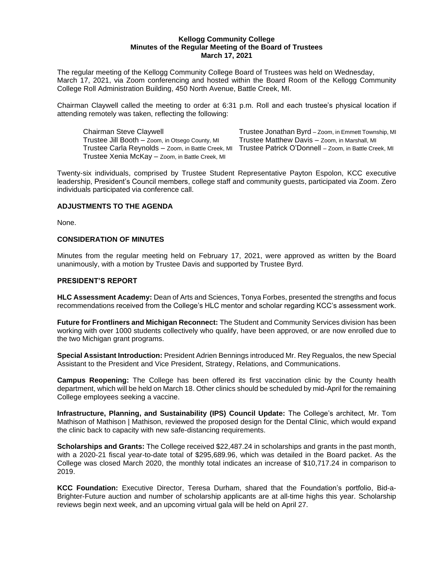#### **Kellogg Community College Minutes of the Regular Meeting of the Board of Trustees March 17, 2021**

The regular meeting of the Kellogg Community College Board of Trustees was held on Wednesday, March 17, 2021, via Zoom conferencing and hosted within the Board Room of the Kellogg Community College Roll Administration Building, 450 North Avenue, Battle Creek, MI.

Chairman Claywell called the meeting to order at 6:31 p.m. Roll and each trustee's physical location if attending remotely was taken, reflecting the following:

Chairman Steve Claywell **Trustee Jonathan Byrd** – Zoom, in Emmett Township, MI Trustee Jill Booth – Zoom, in Otsego County, MI Trustee Matthew Davis – Zoom, in Marshall, MI Trustee Carla Reynolds – Zoom, in Battle Creek, MI Trustee Patrick O'Donnell – Zoom, in Battle Creek, MI Trustee Xenia McKay – Zoom, in Battle Creek, MI

Twenty-six individuals, comprised by Trustee Student Representative Payton Espolon, KCC executive

leadership, President's Council members, college staff and community guests, participated via Zoom. Zero individuals participated via conference call.

# **ADJUSTMENTS TO THE AGENDA**

None.

# **CONSIDERATION OF MINUTES**

Minutes from the regular meeting held on February 17, 2021, were approved as written by the Board unanimously, with a motion by Trustee Davis and supported by Trustee Byrd.

### **PRESIDENT'S REPORT**

**HLC Assessment Academy:** Dean of Arts and Sciences, Tonya Forbes, presented the strengths and focus recommendations received from the College's HLC mentor and scholar regarding KCC's assessment work.

**Future for Frontliners and Michigan Reconnect:** The Student and Community Services division has been working with over 1000 students collectively who qualify, have been approved, or are now enrolled due to the two Michigan grant programs.

**Special Assistant Introduction:** President Adrien Bennings introduced Mr. Rey Regualos, the new Special Assistant to the President and Vice President, Strategy, Relations, and Communications.

**Campus Reopening:** The College has been offered its first vaccination clinic by the County health department, which will be held on March 18. Other clinics should be scheduled by mid-April for the remaining College employees seeking a vaccine.

**Infrastructure, Planning, and Sustainability (IPS) Council Update:** The College's architect, Mr. Tom Mathison of Mathison | Mathison, reviewed the proposed design for the Dental Clinic, which would expand the clinic back to capacity with new safe-distancing requirements.

**Scholarships and Grants:** The College received \$22,487.24 in scholarships and grants in the past month, with a 2020-21 fiscal year-to-date total of \$295,689.96, which was detailed in the Board packet. As the College was closed March 2020, the monthly total indicates an increase of \$10,717.24 in comparison to 2019.

**KCC Foundation:** Executive Director, Teresa Durham, shared that the Foundation's portfolio, Bid-a-Brighter-Future auction and number of scholarship applicants are at all-time highs this year. Scholarship reviews begin next week, and an upcoming virtual gala will be held on April 27.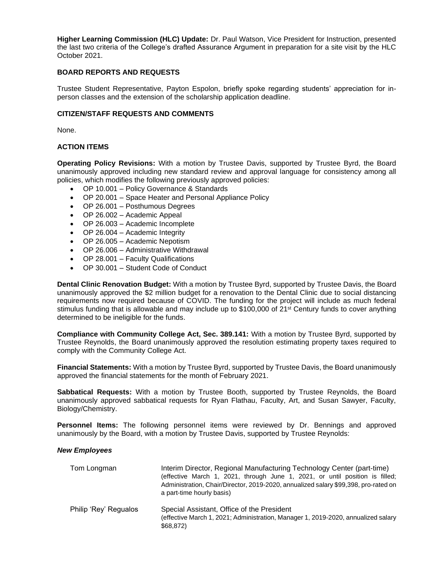**Higher Learning Commission (HLC) Update:** Dr. Paul Watson, Vice President for Instruction, presented the last two criteria of the College's drafted Assurance Argument in preparation for a site visit by the HLC October 2021.

### **BOARD REPORTS AND REQUESTS**

Trustee Student Representative, Payton Espolon, briefly spoke regarding students' appreciation for inperson classes and the extension of the scholarship application deadline.

# **CITIZEN/STAFF REQUESTS AND COMMENTS**

None.

# **ACTION ITEMS**

**Operating Policy Revisions:** With a motion by Trustee Davis, supported by Trustee Byrd, the Board unanimously approved including new standard review and approval language for consistency among all policies, which modifies the following previously approved policies:

- OP 10.001 Policy Governance & Standards
- OP 20.001 Space Heater and Personal Appliance Policy
- OP 26.001 Posthumous Degrees
- OP 26.002 Academic Appeal
- OP 26.003 Academic Incomplete
- OP 26.004 Academic Integrity
- OP 26.005 Academic Nepotism
- OP 26.006 Administrative Withdrawal
- OP 28.001 Faculty Qualifications
- OP 30.001 Student Code of Conduct

**Dental Clinic Renovation Budget:** With a motion by Trustee Byrd, supported by Trustee Davis, the Board unanimously approved the \$2 million budget for a renovation to the Dental Clinic due to social distancing requirements now required because of COVID. The funding for the project will include as much federal stimulus funding that is allowable and may include up to \$100,000 of 21<sup>st</sup> Century funds to cover anything determined to be ineligible for the funds.

**Compliance with Community College Act, Sec. 389.141:** With a motion by Trustee Byrd, supported by Trustee Reynolds, the Board unanimously approved the resolution estimating property taxes required to comply with the Community College Act.

**Financial Statements:** With a motion by Trustee Byrd, supported by Trustee Davis, the Board unanimously approved the financial statements for the month of February 2021.

**Sabbatical Requests:** With a motion by Trustee Booth, supported by Trustee Reynolds, the Board unanimously approved sabbatical requests for Ryan Flathau, Faculty, Art, and Susan Sawyer, Faculty, Biology/Chemistry.

**Personnel Items:** The following personnel items were reviewed by Dr. Bennings and approved unanimously by the Board, with a motion by Trustee Davis, supported by Trustee Reynolds:

### *New Employees*

| Tom Longman           | Interim Director, Regional Manufacturing Technology Center (part-time)<br>(effective March 1, 2021, through June 1, 2021, or until position is filled;<br>Administration, Chair/Director, 2019-2020, annualized salary \$99,398, pro-rated on<br>a part-time hourly basis) |
|-----------------------|----------------------------------------------------------------------------------------------------------------------------------------------------------------------------------------------------------------------------------------------------------------------------|
| Philip 'Rey' Regualos | Special Assistant, Office of the President<br>(effective March 1, 2021; Administration, Manager 1, 2019-2020, annualized salary<br>\$68,872)                                                                                                                               |